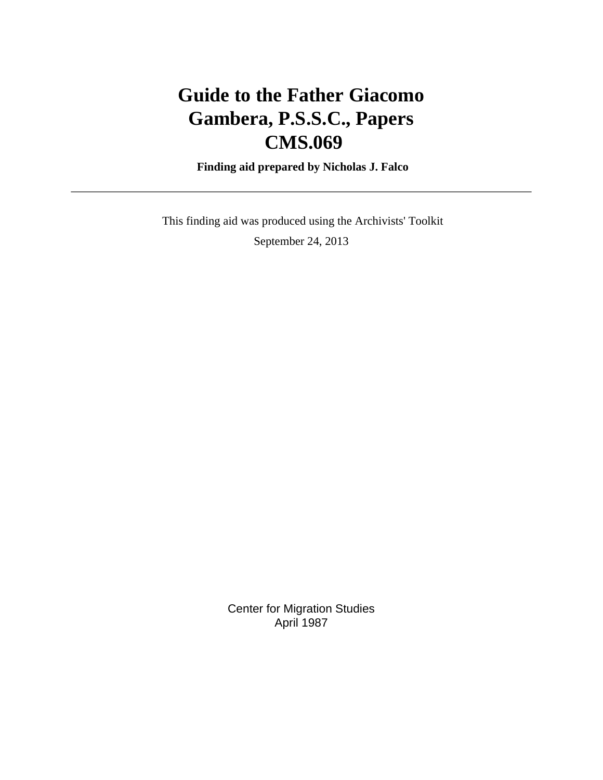# **Guide to the Father Giacomo Gambera, P.S.S.C., Papers CMS.069**

 **Finding aid prepared by Nicholas J. Falco**

 This finding aid was produced using the Archivists' Toolkit September 24, 2013

> Center for Migration Studies April 1987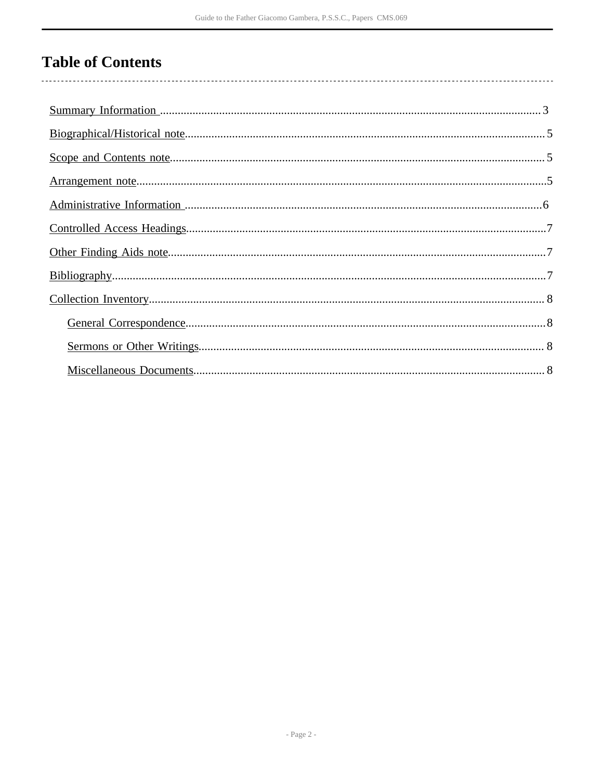## **Table of Contents**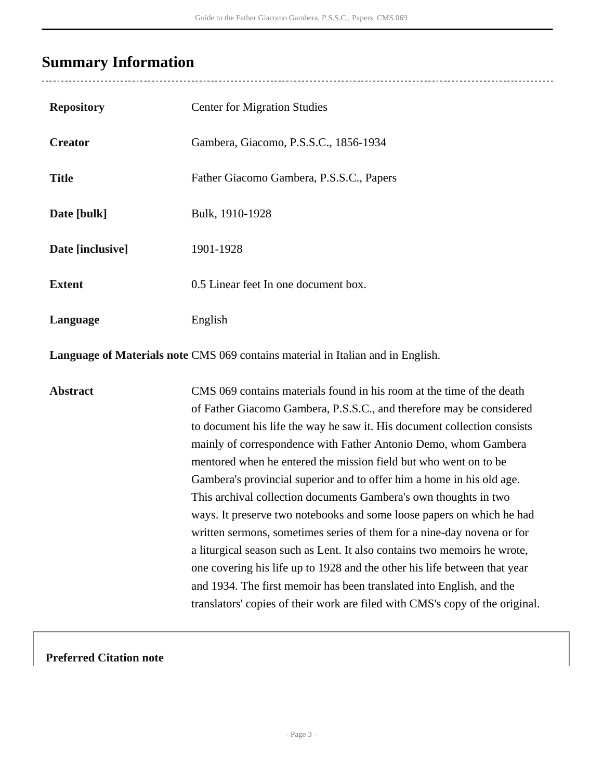## <span id="page-2-0"></span>**Summary Information**

. . . . . . . . . . . . . . . . . .

| <b>Repository</b>                                                               | <b>Center for Migration Studies</b>                                                                                                                                                                                                                                                                                                                                                                                                                                                                                                                                                                                                                                                                                                                                                                                                                                                                                                                                               |  |  |  |  |
|---------------------------------------------------------------------------------|-----------------------------------------------------------------------------------------------------------------------------------------------------------------------------------------------------------------------------------------------------------------------------------------------------------------------------------------------------------------------------------------------------------------------------------------------------------------------------------------------------------------------------------------------------------------------------------------------------------------------------------------------------------------------------------------------------------------------------------------------------------------------------------------------------------------------------------------------------------------------------------------------------------------------------------------------------------------------------------|--|--|--|--|
| <b>Creator</b>                                                                  | Gambera, Giacomo, P.S.S.C., 1856-1934                                                                                                                                                                                                                                                                                                                                                                                                                                                                                                                                                                                                                                                                                                                                                                                                                                                                                                                                             |  |  |  |  |
| <b>Title</b>                                                                    | Father Giacomo Gambera, P.S.S.C., Papers                                                                                                                                                                                                                                                                                                                                                                                                                                                                                                                                                                                                                                                                                                                                                                                                                                                                                                                                          |  |  |  |  |
| Date [bulk]                                                                     | Bulk, 1910-1928                                                                                                                                                                                                                                                                                                                                                                                                                                                                                                                                                                                                                                                                                                                                                                                                                                                                                                                                                                   |  |  |  |  |
| Date [inclusive]                                                                | 1901-1928                                                                                                                                                                                                                                                                                                                                                                                                                                                                                                                                                                                                                                                                                                                                                                                                                                                                                                                                                                         |  |  |  |  |
| <b>Extent</b>                                                                   | 0.5 Linear feet In one document box.                                                                                                                                                                                                                                                                                                                                                                                                                                                                                                                                                                                                                                                                                                                                                                                                                                                                                                                                              |  |  |  |  |
| Language                                                                        | English                                                                                                                                                                                                                                                                                                                                                                                                                                                                                                                                                                                                                                                                                                                                                                                                                                                                                                                                                                           |  |  |  |  |
| Language of Materials note CMS 069 contains material in Italian and in English. |                                                                                                                                                                                                                                                                                                                                                                                                                                                                                                                                                                                                                                                                                                                                                                                                                                                                                                                                                                                   |  |  |  |  |
| <b>Abstract</b>                                                                 | CMS 069 contains materials found in his room at the time of the death<br>of Father Giacomo Gambera, P.S.S.C., and therefore may be considered<br>to document his life the way he saw it. His document collection consists<br>mainly of correspondence with Father Antonio Demo, whom Gambera<br>mentored when he entered the mission field but who went on to be<br>Gambera's provincial superior and to offer him a home in his old age.<br>This archival collection documents Gambera's own thoughts in two<br>ways. It preserve two notebooks and some loose papers on which he had<br>written sermons, sometimes series of them for a nine-day novena or for<br>a liturgical season such as Lent. It also contains two memoirs he wrote,<br>one covering his life up to 1928 and the other his life between that year<br>and 1934. The first memoir has been translated into English, and the<br>translators' copies of their work are filed with CMS's copy of the original. |  |  |  |  |

### **Preferred Citation note**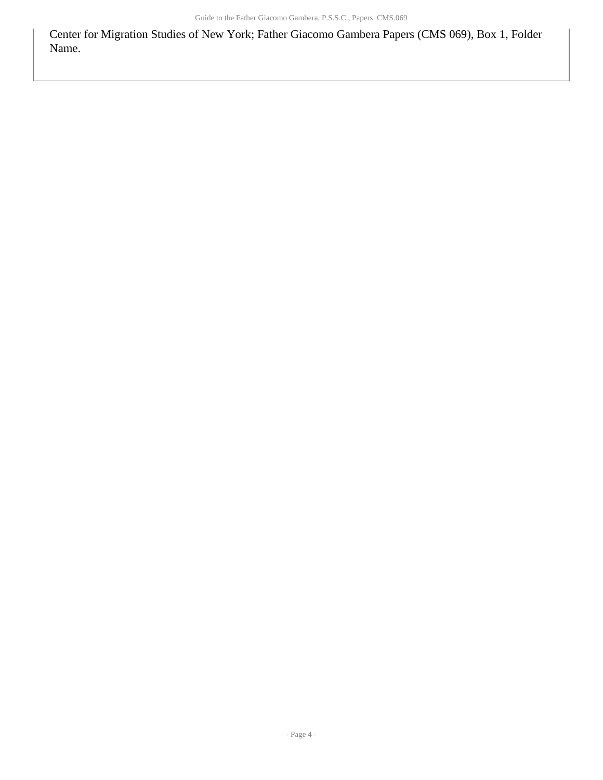Center for Migration Studies of New York; Father Giacomo Gambera Papers (CMS 069), Box 1, Folder Name.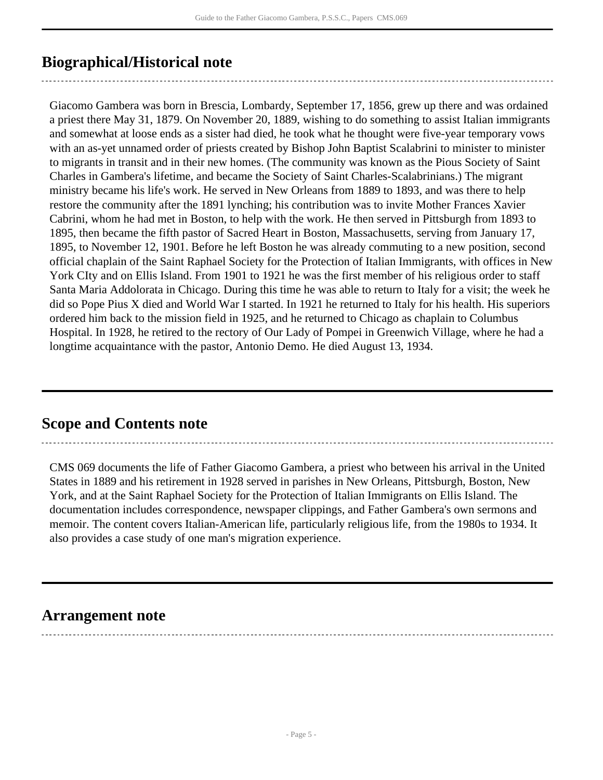## <span id="page-4-0"></span>**Biographical/Historical note**

Giacomo Gambera was born in Brescia, Lombardy, September 17, 1856, grew up there and was ordained a priest there May 31, 1879. On November 20, 1889, wishing to do something to assist Italian immigrants and somewhat at loose ends as a sister had died, he took what he thought were five-year temporary vows with an as-yet unnamed order of priests created by Bishop John Baptist Scalabrini to minister to minister to migrants in transit and in their new homes. (The community was known as the Pious Society of Saint Charles in Gambera's lifetime, and became the Society of Saint Charles-Scalabrinians.) The migrant ministry became his life's work. He served in New Orleans from 1889 to 1893, and was there to help restore the community after the 1891 lynching; his contribution was to invite Mother Frances Xavier Cabrini, whom he had met in Boston, to help with the work. He then served in Pittsburgh from 1893 to 1895, then became the fifth pastor of Sacred Heart in Boston, Massachusetts, serving from January 17, 1895, to November 12, 1901. Before he left Boston he was already commuting to a new position, second official chaplain of the Saint Raphael Society for the Protection of Italian Immigrants, with offices in New York CIty and on Ellis Island. From 1901 to 1921 he was the first member of his religious order to staff Santa Maria Addolorata in Chicago. During this time he was able to return to Italy for a visit; the week he did so Pope Pius X died and World War I started. In 1921 he returned to Italy for his health. His superiors ordered him back to the mission field in 1925, and he returned to Chicago as chaplain to Columbus Hospital. In 1928, he retired to the rectory of Our Lady of Pompei in Greenwich Village, where he had a longtime acquaintance with the pastor, Antonio Demo. He died August 13, 1934.

### <span id="page-4-1"></span>**Scope and Contents note**

CMS 069 documents the life of Father Giacomo Gambera, a priest who between his arrival in the United States in 1889 and his retirement in 1928 served in parishes in New Orleans, Pittsburgh, Boston, New York, and at the Saint Raphael Society for the Protection of Italian Immigrants on Ellis Island. The documentation includes correspondence, newspaper clippings, and Father Gambera's own sermons and memoir. The content covers Italian-American life, particularly religious life, from the 1980s to 1934. It also provides a case study of one man's migration experience.

### <span id="page-4-2"></span>**Arrangement note**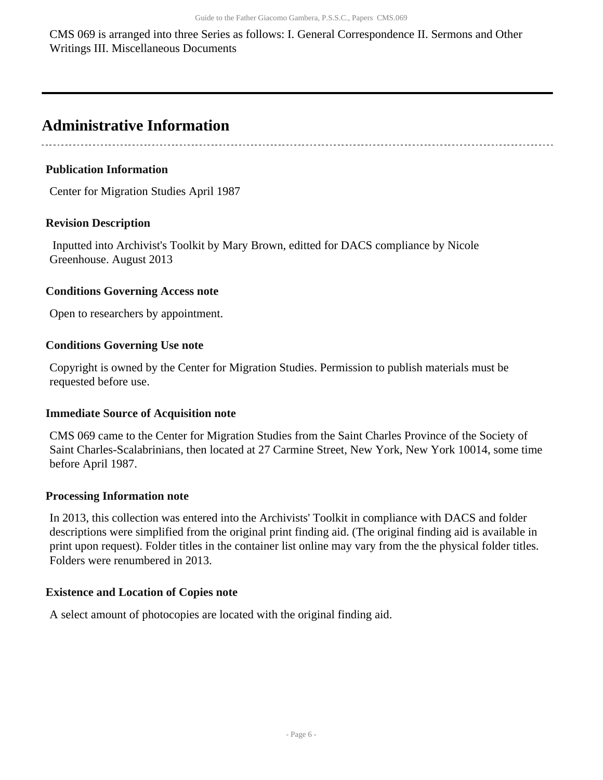CMS 069 is arranged into three Series as follows: I. General Correspondence II. Sermons and Other Writings III. Miscellaneous Documents

### <span id="page-5-0"></span>**Administrative Information**

#### **Publication Information**

Center for Migration Studies April 1987

#### **Revision Description**

 Inputted into Archivist's Toolkit by Mary Brown, editted for DACS compliance by Nicole Greenhouse. August 2013

#### **Conditions Governing Access note**

Open to researchers by appointment.

#### **Conditions Governing Use note**

Copyright is owned by the Center for Migration Studies. Permission to publish materials must be requested before use.

#### **Immediate Source of Acquisition note**

CMS 069 came to the Center for Migration Studies from the Saint Charles Province of the Society of Saint Charles-Scalabrinians, then located at 27 Carmine Street, New York, New York 10014, some time before April 1987.

#### **Processing Information note**

In 2013, this collection was entered into the Archivists' Toolkit in compliance with DACS and folder descriptions were simplified from the original print finding aid. (The original finding aid is available in print upon request). Folder titles in the container list online may vary from the the physical folder titles. Folders were renumbered in 2013.

#### **Existence and Location of Copies note**

A select amount of photocopies are located with the original finding aid.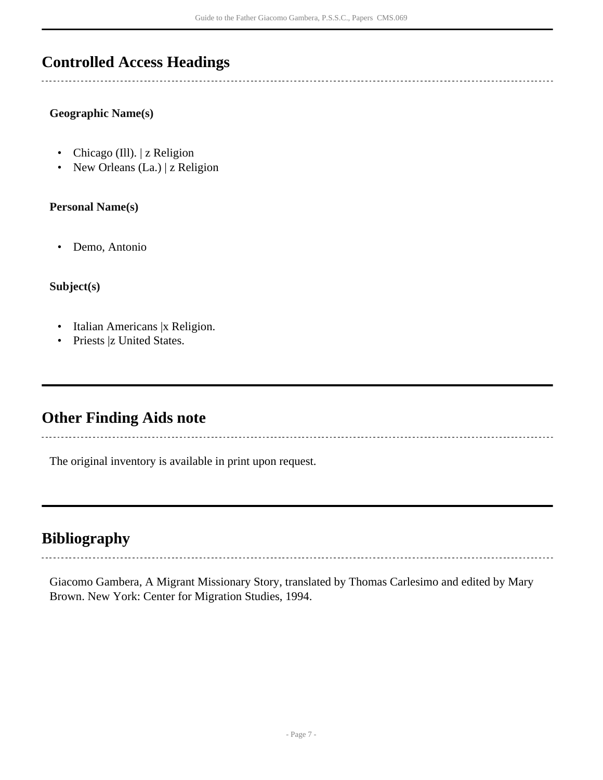## <span id="page-6-0"></span>**Controlled Access Headings**

#### **Geographic Name(s)**

- Chicago (Ill). | z Religion
- New Orleans (La.) | z Religion

#### **Personal Name(s)**

• Demo, Antonio

#### **Subject(s)**

- Italian Americans |x Religion.
- Priests |z United States.

### <span id="page-6-1"></span>**Other Finding Aids note**

The original inventory is available in print upon request.

## <span id="page-6-2"></span>**Bibliography**

Giacomo Gambera, A Migrant Missionary Story, translated by Thomas Carlesimo and edited by Mary Brown. New York: Center for Migration Studies, 1994.